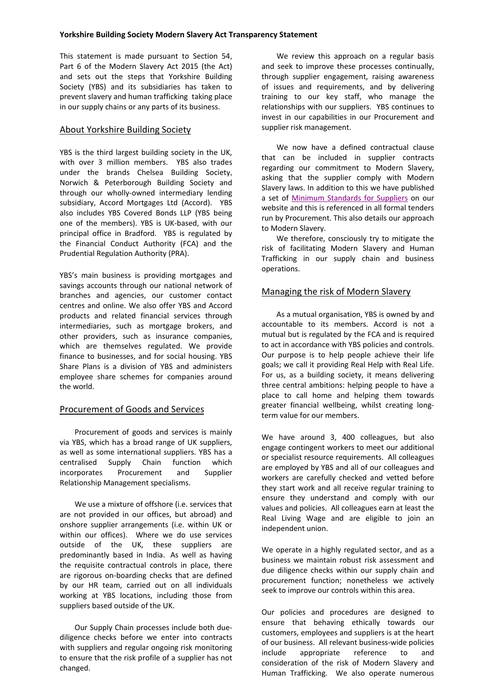This statement is made pursuant to Section 54, Part 6 of the Modern Slavery Act 2015 (the Act) and sets out the steps that Yorkshire Building Society (YBS) and its subsidiaries has taken to prevent slavery and human trafficking taking place in our supply chains or any parts of its business.

## About Yorkshire Building Society

YBS is the third largest building society in the UK, with over 3 million members. YBS also trades under the brands Chelsea Building Society, Norwich & Peterborough Building Society and through our wholly-owned intermediary lending subsidiary, Accord Mortgages Ltd (Accord). YBS also includes YBS Covered Bonds LLP (YBS being one of the members). YBS is UK-based, with our principal office in Bradford. YBS is regulated by the Financial Conduct Authority (FCA) and the Prudential Regulation Authority (PRA).

YBS's main business is providing mortgages and savings accounts through our national network of branches and agencies, our customer contact centres and online. We also offer YBS and Accord products and related financial services through intermediaries, such as mortgage brokers, and other providers, such as insurance companies, which are themselves regulated. We provide finance to businesses, and for social housing. YBS Share Plans is a division of YBS and administers employee share schemes for companies around the world.

# Procurement of Goods and Services

Procurement of goods and services is mainly via YBS, which has a broad range of UK suppliers, as well as some international suppliers. YBS has a centralised Supply Chain function which incorporates Procurement and Supplier Relationship Management specialisms.

We use a mixture of offshore (i.e. services that are not provided in our offices, but abroad) and onshore supplier arrangements (i.e. within UK or within our offices). Where we do use services outside of the UK, these suppliers are predominantly based in India. As well as having the requisite contractual controls in place, there are rigorous on-boarding checks that are defined by our HR team, carried out on all individuals working at YBS locations, including those from suppliers based outside of the UK.

Our Supply Chain processes include both duediligence checks before we enter into contracts with suppliers and regular ongoing risk monitoring to ensure that the risk profile of a supplier has not changed.

We review this approach on a regular basis and seek to improve these processes continually, through supplier engagement, raising awareness of issues and requirements, and by delivering training to our key staff, who manage the relationships with our suppliers. YBS continues to invest in our capabilities in our Procurement and supplier risk management.

We now have a defined contractual clause that can be included in supplier contracts regarding our commitment to Modern Slavery, asking that the supplier comply with Modern Slavery laws. In addition to this we have published a set of [Minimum Standards for Suppliers](https://www.ybs.co.uk/your-society/inside-your-society/corporate-governance/policies/index.html) on our website and this is referenced in all formal tenders run by Procurement. This also details our approach to Modern Slavery.

We therefore, consciously try to mitigate the risk of facilitating Modern Slavery and Human Trafficking in our supply chain and business operations.

## Managing the risk of Modern Slavery

As a mutual organisation, YBS is owned by and accountable to its members. Accord is not a mutual but is regulated by the FCA and is required to act in accordance with YBS policies and controls. Our purpose is to help people achieve their life goals; we call it providing Real Help with Real Life. For us, as a building society, it means delivering three central ambitions: helping people to have a place to call home and helping them towards greater financial wellbeing, whilst creating longterm value for our members.

We have around 3, 400 colleagues, but also engage contingent workers to meet our additional or specialist resource requirements. All colleagues are employed by YBS and all of our colleagues and workers are carefully checked and vetted before they start work and all receive regular training to ensure they understand and comply with our values and policies. All colleagues earn at least the Real Living Wage and are eligible to join an independent union.

We operate in a highly regulated sector, and as a business we maintain robust risk assessment and due diligence checks within our supply chain and procurement function; nonetheless we actively seek to improve our controls within this area.

Our policies and procedures are designed to ensure that behaving ethically towards our customers, employees and suppliers is at the heart of our business. All relevant business-wide policies include appropriate reference to and consideration of the risk of Modern Slavery and Human Trafficking. We also operate numerous